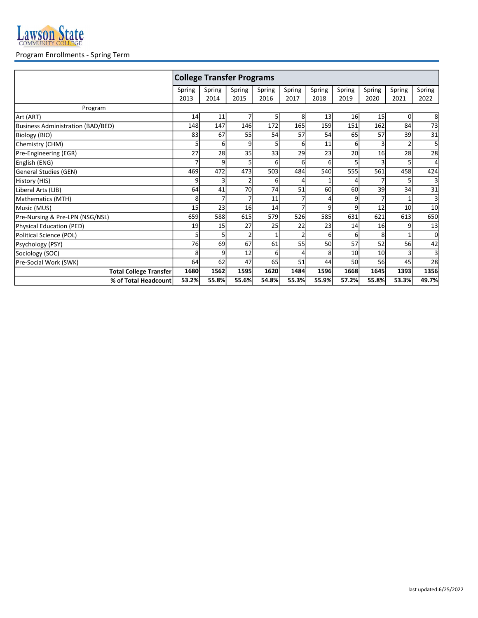

## Program Enrollments - Spring Term

|                                          | <b>College Transfer Programs</b> |                |        |                |                |        |        |                |        |                 |  |
|------------------------------------------|----------------------------------|----------------|--------|----------------|----------------|--------|--------|----------------|--------|-----------------|--|
|                                          | Spring                           | Spring         | Spring | Spring         | Spring         | Spring | Spring | Spring         | Spring | Spring          |  |
|                                          | 2013                             | 2014           | 2015   | 2016           | 2017           | 2018   | 2019   | 2020           | 2021   | 2022            |  |
| Program                                  |                                  |                |        |                |                |        |        |                |        |                 |  |
| Art (ART)                                | 14                               | 11             | 7      | 5              | 8              | 13     | 16     | 15             | 0l     | 8               |  |
| <b>Business Administration (BAD/BED)</b> | 148                              | 147            | 146    | 172            | 165            | 159    | 151    | 162            | 84     | 73              |  |
| Biology (BIO)                            | 83                               | 67             | 55     | 54             | 57             | 54     | 65     | 57             | 39     | 31              |  |
| Chemistry (CHM)                          | 5                                | 6              | 9      | 5 <sub>l</sub> | 6              | 11     | 6      | 3              |        | 5               |  |
| Pre-Engineering (EGR)                    | 27                               | 28             | 35     | 33             | 29             | 23     | 20     | 16             | 28     | 28              |  |
| English (ENG)                            |                                  | 9              | 5      | $6 \mid$       | $6 \mid$       | 6      | 5      | 3              |        | 4               |  |
| <b>General Studies (GEN)</b>             | 469                              | 472            | 473    | 503            | 484            | 540    | 555    | 561            | 458    | 424             |  |
| History (HIS)                            | 9                                | 3              |        | 6              | 4              |        | Δ      | 7              |        |                 |  |
| Liberal Arts (LIB)                       | 64                               | 41             | 70     | 74             | 51             | 60     | 60     | 39             | 34     | $\overline{31}$ |  |
| Mathematics (MTH)                        | 8                                | $\overline{7}$ | 7      | 11             | 7              | Δ      | 9      | $\overline{7}$ |        |                 |  |
| Music (MUS)                              | 15                               | 23             | 16     | 14             | 7              | 9      | 9      | 12             | 10     | 10              |  |
| Pre-Nursing & Pre-LPN (NSG/NSL)          | 659                              | 588            | 615    | 579            | 526            | 585    | 631    | 621            | 613    | 650             |  |
| <b>Physical Education (PED)</b>          | 19                               | 15             | 27     | 25             | 22             | 23     | 14     | 16             | q      | 13              |  |
| Political Science (POL)                  | 5                                | 5              |        |                | $\overline{2}$ | 6      | 6      | 8              |        | 0               |  |
| Psychology (PSY)                         | 76                               | 69             | 67     | 61             | 55             | 50     | 57     | 52             | 56     | 42              |  |
| Sociology (SOC)                          | 8                                | 9              | 12     | $6 \mid$       | 4              | 8      | 10     | 10             |        |                 |  |
| Pre-Social Work (SWK)                    | 64                               | 62             | 47     | 65             | 51             | 44     | 50     | 56             | 45     | 28              |  |
| <b>Total College Transfer</b>            | 1680                             | 1562           | 1595   | 1620           | 1484           | 1596   | 1668   | 1645           | 1393   | 1356            |  |
| % of Total Headcount                     | 53.2%                            | 55.8%          | 55.6%  | 54.8%          | 55.3%          | 55.9%  | 57.2%  | 55.8%          | 53.3%  | 49.7%           |  |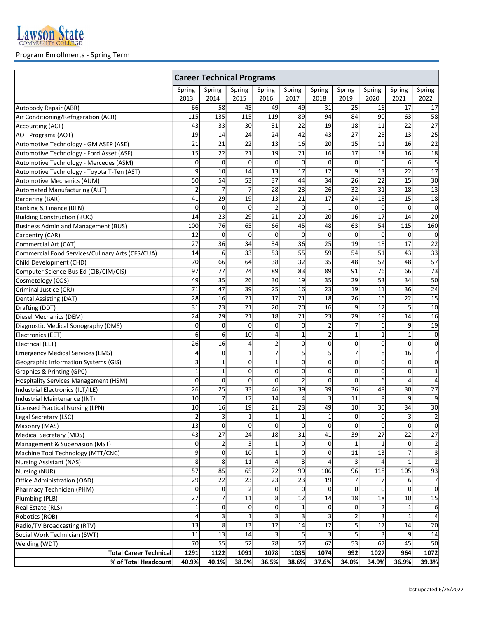

## Program Enrollments - Spring Term

|                                                  | <b>Career Technical Programs</b> |                 |                |                 |                 |                |                |                 |                |                          |  |
|--------------------------------------------------|----------------------------------|-----------------|----------------|-----------------|-----------------|----------------|----------------|-----------------|----------------|--------------------------|--|
|                                                  | Spring                           | Spring          | Spring         | Spring          | Spring          | Spring         | Spring         | Spring          | Spring         | Spring                   |  |
|                                                  | 2013                             | 2014            | 2015           | 2016            | 2017            | 2018           | 2019           | 2020            | 2021           | 2022                     |  |
| Autobody Repair (ABR)                            | 66                               | 58              | 45             | 49              | 49              | 31             | 25             | 16              | 17             | 17                       |  |
| Air Conditioning/Refrigeration (ACR)             | 115                              | 135             | 115            | 119             | 89              | 94             | 84             | 90              | 63             | 58                       |  |
| Accounting (ACT)                                 | 43                               | 33              | 30             | 31              | 22              | 19             | 18             | 11              | 22             | 27                       |  |
| <b>AOT Programs (AOT)</b>                        | 19                               | 14              | 24             | 24              | 42              | 43             | 27             | 25              | 13             | 25                       |  |
| Automotive Technology - GM ASEP (ASE)            | 21                               | 21              | 22             | 13              | 16              | 20             | 15             | 11              | 16             | $\overline{22}$          |  |
| Automotive Technology - Ford Asset (ASF)         | 15                               | 22              | 21             | 19              | 21              | 16             | 17             | 18              | 16             | 18                       |  |
| Automotive Technology - Mercedes (ASM)           | 0                                | $\Omega$        | $\overline{0}$ | 0               | $\mathbf 0$     | $\mathbf 0$    | 0              | 6               | 6              | 5                        |  |
| Automotive Technology - Toyota T-Ten (AST)       | 9                                | 10 <sup>1</sup> | 14             | 13              | 17              | 17             | 9              | 13              | 22             | 17                       |  |
| Automotive Mechanics (AUM)                       | 50                               | 54              | 53             | 37              | 44              | 34             | 26             | 22              | 15             | $\overline{30}$          |  |
| Automated Manufacturing (AUT)                    | $\overline{c}$                   | $\overline{7}$  | $\overline{7}$ | 28              | 23              | 26             | 32             | 31              | 18             | $\overline{13}$          |  |
| Barbering (BAR)                                  | 41                               | 29              | 19             | 13              | 21              | 17             | 24             | 18              | 15             | $\overline{18}$          |  |
| Banking & Finance (BFN)                          | 0                                | $\Omega$        | $\Omega$       | 2               | 0               | 1              | 0              | 0               | 0              | 0                        |  |
| <b>Building Construction (BUC)</b>               | 14                               | 23              | 29             | 21              | 20              | 20             | 16             | 17              | 14             | 20                       |  |
| <b>Business Admin and Management (BUS)</b>       | 100                              | 76              | 65             | 66              | 45              | 48             | 63             | $\overline{54}$ | 115            | 160                      |  |
| Carpentry (CAR)                                  | 12                               | $\Omega$        | $\overline{0}$ | 0               | 0               | $\mathbf 0$    | 0              | $\mathbf 0$     | $\mathbf 0$    | 0                        |  |
| Commercial Art (CAT)                             | $\overline{27}$                  | 36              | 34             | 34              | 36              | 25             | 19             | 18              | 17             | $\overline{22}$          |  |
| Commercial Food Services/Culinary Arts (CFS/CUA) | 14                               | $6 \mid$        | 33             | 53              | 55              | 59             | 54             | 51              | 43             | 33                       |  |
| Child Development (CHD)                          | 70                               | 66              | 64             | 38              | $\overline{32}$ | 35             | 48             | $\overline{52}$ | 48             | 57                       |  |
| Computer Science-Bus Ed (CIB/CIM/CIS)            | 97                               | 77              | 74             | 89              | 83              | 89             | 91             | 76              | 66             | $\overline{73}$          |  |
| Cosmetology (COS)                                | 49                               | 35              | 26             | 30              | 19              | 35             | 29             | 53              | 34             | $\overline{50}$          |  |
| Criminal Justice (CRJ)                           | 71                               | 47              | 39             | $\overline{25}$ | 16              | 23             | 19             | 11              | 36             | $\overline{24}$          |  |
| Dental Assisting (DAT)                           | 28                               | 16              | 21             | 17              | 21              | 18             | 26             | 16              | 22             | 15                       |  |
| Drafting (DDT)                                   | 31                               | 23              | 21             | 20              | 20              | 16             | 9              | 12              | 5              | 10                       |  |
| Diesel Mechanics (DEM)                           | 24                               | 29              | 21             | 18              | 21              | 23             | 29             | 19              | 14             | 16                       |  |
| Diagnostic Medical Sonography (DMS)              | 0                                | $\Omega$        | 0              | 0               | 0               | $\overline{2}$ | $\overline{7}$ | 6               | 9              | 19                       |  |
| Electronics (EET)                                | 6                                | $6 \mid$        | 10             | 4               | $\mathbf{1}$    | 2              | $\mathbf{1}$   | 1               | $\mathbf{1}$   | 0                        |  |
| Electrical (ELT)                                 | 26                               | 16              | 4              | $\overline{2}$  | 0               | 0              | $\mathbf{0}$   | $\mathbf 0$     | 0              | 0                        |  |
| <b>Emergency Medical Services (EMS)</b>          | 4                                | $\Omega$        | $\mathbf 1$    | 7               | 5               | 5              | $\overline{7}$ | 8               | 16             | $\overline{7}$           |  |
| Geographic Information Systems (GIS)             | 3                                | 1               | 0              | $\mathbf 1$     | 0               | 0              | 0              | 0               | 0              | $\mathbf{0}$             |  |
| Graphics & Printing (GPC)                        | $\mathbf 1$                      | $\mathbf{1}$    | 0              | $\mathbf{0}$    | 0               | 0              | $\mathbf 0$    | $\mathbf 0$     | $\mathbf 0$    | $\mathbf{1}$             |  |
| Hospitality Services Management (HSM)            | $\mathbf 0$                      | $\overline{0}$  | $\overline{0}$ | 0               | $\overline{2}$  | $\mathbf 0$    | 0              | 6               | $\overline{4}$ | 4                        |  |
| Industrial Electronics (ILT/ILE)                 | 26                               | 25              | 33             | 46              | 39              | 39             | 36             | 48              | 30             | $\overline{27}$          |  |
| Industrial Maintenance (INT)                     | 10                               | $\overline{7}$  | 17             | 14              | 4               | 3              | 11             | 8               | 9              | 9                        |  |
| <b>Licensed Practical Nursing (LPN)</b>          | 10                               | 16              | 19             | 21              | 23              | 49             | 10             | 30              | 34             | $\overline{30}$          |  |
| Legal Secretary (LSC)                            | $\overline{2}$                   | $\overline{3}$  | $1\vert$       | $\mathbf 1$     | $\mathbf 1$     | $\mathbf 1$    | 0              | 0               | 3              | $\overline{2}$           |  |
| Masonry (MAS)                                    | 13                               | <sup>0</sup>    | $\Omega$       | $\overline{0}$  | $\Omega$        | $\mathbf 0$    | $\overline{0}$ | <sup>0</sup>    | 0              | 0                        |  |
| Medical Secretary (MDS)                          | 43                               | 27              | 24             | 18              | 31              | 41             | 39             | 27              | 22             | 27                       |  |
| Management & Supervision (MST)                   | 0                                | 2               | 3              | 1               | 0               | 0              | 1              |                 | $\overline{0}$ | $\mathbf{2}$             |  |
| Machine Tool Technology (MTT/CNC)                | $\overline{9}$                   | $\overline{0}$  | 10             | $\mathbf 1$     | 0               | 0              | 11             | 13              | 7              | $\overline{3}$           |  |
| <b>Nursing Assistant (NAS)</b>                   | 8                                | 8 <sup>1</sup>  | 11             | 4               | 3               | 4              | 3              | $\overline{a}$  | $\mathbf{1}$   | $\overline{\mathbf{c}}$  |  |
| Nursing (NUR)                                    | $\overline{57}$                  | 85              | 65             | 72              | 99              | 106            | 96             | 118             | 105            | 93                       |  |
| Office Administration (OAD)                      | 29                               | 22              | 23             | 23              | 23              | 19             | 7              |                 | $6 \mid$       | $\overline{\mathcal{L}}$ |  |
| Pharmacy Technician (PHM)                        | 0                                | $\Omega$        | $\overline{2}$ | 0               | 0               | 0              | 0              | $\mathbf 0$     | $\Omega$       | $\overline{0}$           |  |
| Plumbing (PLB)                                   | 27                               | 7               | 11             | 8               | 12              | 14             | 18             | 18              | 10             | 15                       |  |
| Real Estate (RLS)                                | 1                                | $\Omega$        | $\Omega$       | 0               | 1               | 0              | 0l             | $\overline{2}$  | 1              | 6                        |  |
| Robotics (ROB)                                   | 4                                | $\overline{3}$  | 1              | 3               | 3               | 3              | 2              |                 | 1              | 4                        |  |
| Radio/TV Broadcasting (RTV)                      | 13                               | 8 <sup>1</sup>  | 13             | 12              | 14              | 12             | 5              | 17              | 14             | 20                       |  |
| Social Work Technician (SWT)                     | 11                               | 13              | 14             | 3               | 5               | 3              | 5              |                 | 9              | 14                       |  |
| Welding (WDT)                                    | $\overline{70}$                  | 55              | 52             | 78              | 57              | 62             | 53             | 67              | 45             | 50                       |  |
| <b>Total Career Technical</b>                    | 1291                             | 1122            | 1091           | 1078            | 1035            | 1074           | 992            | 1027            | 964            | 1072                     |  |
| % of Total Headcount                             | 40.9%                            | 40.1%           | 38.0%          | 36.5%           | 38.6%           | 37.6%          | 34.0%          | 34.9%           | 36.9%          | 39.3%                    |  |